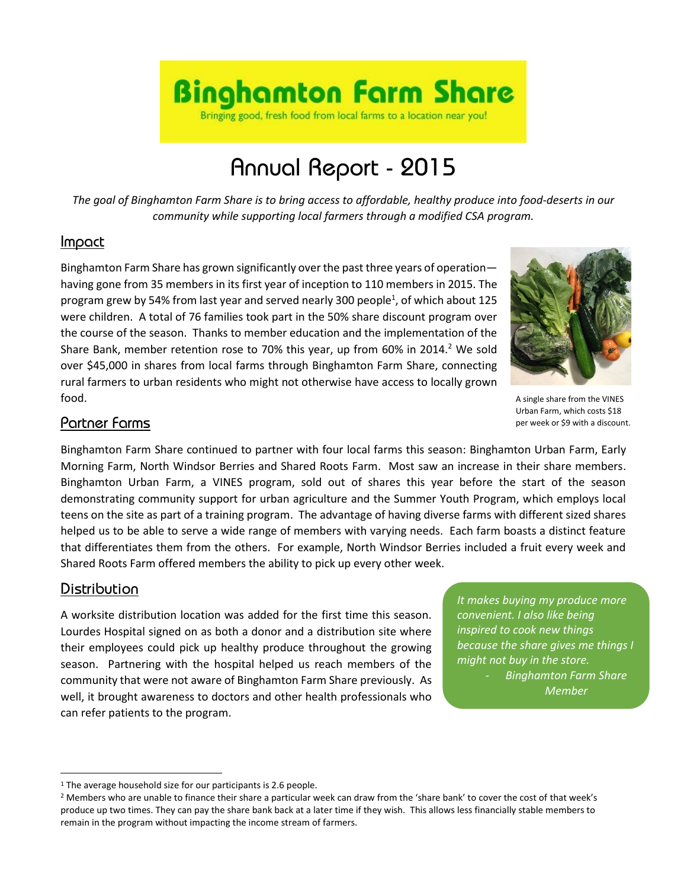

# Annual Report - 2015

*The goal of Binghamton Farm Share is to bring access to affordable, healthy produce into food-deserts in our community while supporting local farmers through a modified CSA program.*

#### Impact

Binghamton Farm Share has grown significantly over the past three years of operation having gone from 35 members in its first year of inception to 110 members in 2015. The program grew by 54% from last year and served nearly 300 people<sup>1</sup>, of which about 125 were children. A total of 76 families took part in the 50% share discount program over the course of the season. Thanks to member education and the implementation of the Share Bank, member retention rose to 70% this year, up from 60% in 2014.<sup>2</sup> We sold over \$45,000 in shares from local farms through Binghamton Farm Share, connecting rural farmers to urban residents who might not otherwise have access to locally grown food.



A single share from the VINES Urban Farm, which costs \$18 per week or \$9 with a discount.

# Partner Farms

Binghamton Farm Share continued to partner with four local farms this season: Binghamton Urban Farm, Early Morning Farm, North Windsor Berries and Shared Roots Farm. Most saw an increase in their share members. Binghamton Urban Farm, a VINES program, sold out of shares this year before the start of the season demonstrating community support for urban agriculture and the Summer Youth Program, which employs local teens on the site as part of a training program. The advantage of having diverse farms with different sized shares helped us to be able to serve a wide range of members with varying needs. Each farm boasts a distinct feature that differentiates them from the others. For example, North Windsor Berries included a fruit every week and Shared Roots Farm offered members the ability to pick up every other week.

# Distribution

 $\overline{a}$ 

A worksite distribution location was added for the first time this season. Lourdes Hospital signed on as both a donor and a distribution site where their employees could pick up healthy produce throughout the growing season. Partnering with the hospital helped us reach members of the community that were not aware of Binghamton Farm Share previously. As well, it brought awareness to doctors and other health professionals who can refer patients to the program.

*It makes buying my produce more convenient. I also like being inspired to cook new things because the share gives me things I might not buy in the store. - Binghamton Farm Share* 

*Member*

<sup>&</sup>lt;sup>1</sup> The average household size for our participants is 2.6 people.

<sup>&</sup>lt;sup>2</sup> Members who are unable to finance their share a particular week can draw from the 'share bank' to cover the cost of that week's produce up two times. They can pay the share bank back at a later time if they wish. This allows less financially stable members to remain in the program without impacting the income stream of farmers.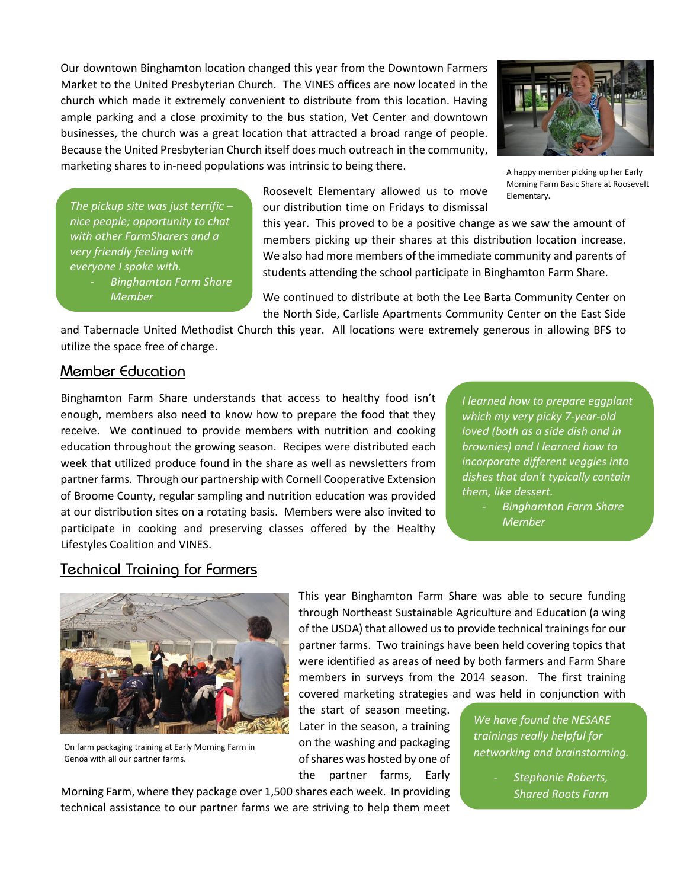Our downtown Binghamton location changed this year from the Downtown Farmers Market to the United Presbyterian Church. The VINES offices are now located in the church which made it extremely convenient to distribute from this location. Having ample parking and a close proximity to the bus station, Vet Center and downtown businesses, the church was a great location that attracted a broad range of people. Because the United Presbyterian Church itself does much outreach in the community, marketing shares to in-need populations was intrinsic to being there.



A happy member picking up her Early Morning Farm Basic Share at Roosevelt Elementary.

*The pickup site was just terrific – nice people; opportunity to chat with other FarmSharers and a very friendly feeling with everyone I spoke with.*

> - *Binghamton Farm Share Member*

students attending the school participate in Binghamton Farm Share.

this year. This proved to be a positive change as we saw the amount of members picking up their shares at this distribution location increase. We also had more members of the immediate community and parents of

We continued to distribute at both the Lee Barta Community Center on the North Side, Carlisle Apartments Community Center on the East Side

and Tabernacle United Methodist Church this year. All locations were extremely generous in allowing BFS to utilize the space free of charge.

Roosevelt Elementary allowed us to move our distribution time on Fridays to dismissal

#### Member Education

Binghamton Farm Share understands that access to healthy food isn't enough, members also need to know how to prepare the food that they receive. We continued to provide members with nutrition and cooking education throughout the growing season. Recipes were distributed each week that utilized produce found in the share as well as newsletters from partner farms. Through our partnership with Cornell Cooperative Extension of Broome County, regular sampling and nutrition education was provided at our distribution sites on a rotating basis. Members were also invited to participate in cooking and preserving classes offered by the Healthy Lifestyles Coalition and VINES.

*I learned how to prepare eggplant which my very picky 7-year-old loved (both as a side dish and in brownies) and I learned how to incorporate different veggies into dishes that don't typically contain them, like dessert.* 

*- Binghamton Farm Share Member*

# Technical Training for Farmers



On farm packaging training at Early Morning Farm in Genoa with all our partner farms.

This year Binghamton Farm Share was able to secure funding through Northeast Sustainable Agriculture and Education (a wing of the USDA) that allowed us to provide technical trainings for our partner farms. Two trainings have been held covering topics that were identified as areas of need by both farmers and Farm Share members in surveys from the 2014 season. The first training covered marketing strategies and was held in conjunction with

the start of season meeting. Later in the season, a training on the washing and packaging of shares was hosted by one of the partner farms, Early

Morning Farm, where they package over 1,500 shares each week. In providing technical assistance to our partner farms we are striving to help them meet

*We have found the NESARE trainings really helpful for networking and brainstorming.*

> - *Stephanie Roberts, Shared Roots Farm*